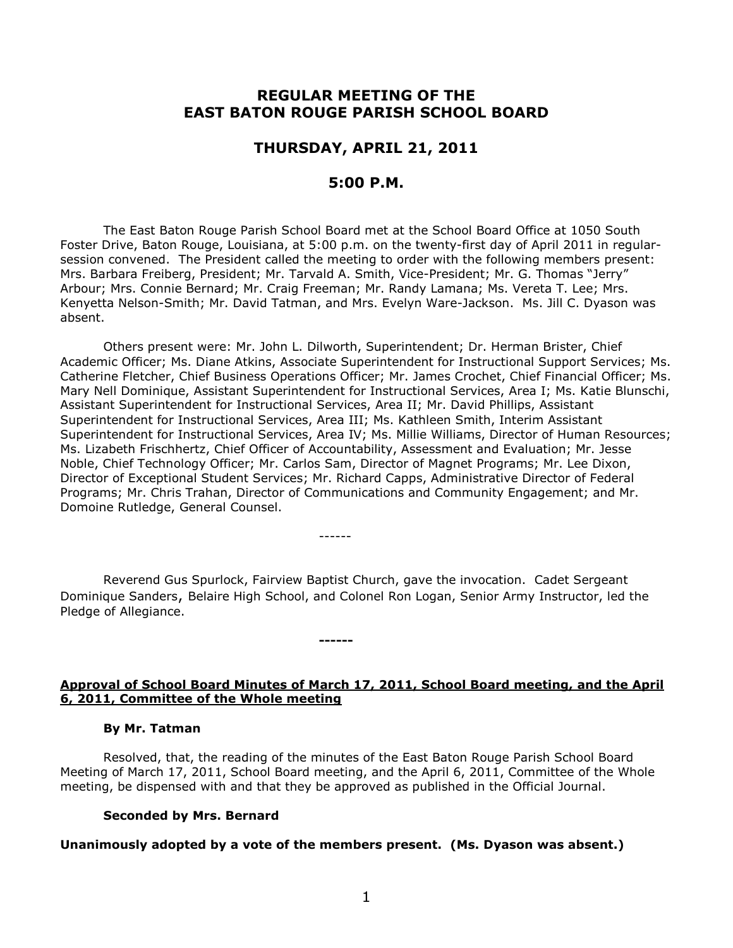# **REGULAR MEETING OF THE EAST BATON ROUGE PARISH SCHOOL BOARD**

# **THURSDAY, APRIL 21, 2011**

# **5:00 P.M.**

The East Baton Rouge Parish School Board met at the School Board Office at 1050 South Foster Drive, Baton Rouge, Louisiana, at 5:00 p.m. on the twenty-first day of April 2011 in regularsession convened. The President called the meeting to order with the following members present: Mrs. Barbara Freiberg, President; Mr. Tarvald A. Smith, Vice-President; Mr. G. Thomas "Jerry" Arbour; Mrs. Connie Bernard; Mr. Craig Freeman; Mr. Randy Lamana; Ms. Vereta T. Lee; Mrs. Kenyetta Nelson-Smith; Mr. David Tatman, and Mrs. Evelyn Ware-Jackson. Ms. Jill C. Dyason was absent.

Others present were: Mr. John L. Dilworth, Superintendent; Dr. Herman Brister, Chief Academic Officer; Ms. Diane Atkins, Associate Superintendent for Instructional Support Services; Ms. Catherine Fletcher, Chief Business Operations Officer; Mr. James Crochet, Chief Financial Officer; Ms. Mary Nell Dominique, Assistant Superintendent for Instructional Services, Area I; Ms. Katie Blunschi, Assistant Superintendent for Instructional Services, Area II; Mr. David Phillips, Assistant Superintendent for Instructional Services, Area III; Ms. Kathleen Smith, Interim Assistant Superintendent for Instructional Services, Area IV; Ms. Millie Williams, Director of Human Resources; Ms. Lizabeth Frischhertz, Chief Officer of Accountability, Assessment and Evaluation; Mr. Jesse Noble, Chief Technology Officer; Mr. Carlos Sam, Director of Magnet Programs; Mr. Lee Dixon, Director of Exceptional Student Services; Mr. Richard Capps, Administrative Director of Federal Programs; Mr. Chris Trahan, Director of Communications and Community Engagement; and Mr. Domoine Rutledge, General Counsel.

------

**------**

Reverend Gus Spurlock, Fairview Baptist Church, gave the invocation. Cadet Sergeant Dominique Sanders, Belaire High School, and Colonel Ron Logan, Senior Army Instructor, led the Pledge of Allegiance.

# **Approval of School Board Minutes of March 17, 2011, School Board meeting, and the April 6, 2011, Committee of the Whole meeting**

#### **By Mr. Tatman**

Resolved, that, the reading of the minutes of the East Baton Rouge Parish School Board Meeting of March 17, 2011, School Board meeting, and the April 6, 2011, Committee of the Whole meeting, be dispensed with and that they be approved as published in the Official Journal.

#### **Seconded by Mrs. Bernard**

**Unanimously adopted by a vote of the members present. (Ms. Dyason was absent.)**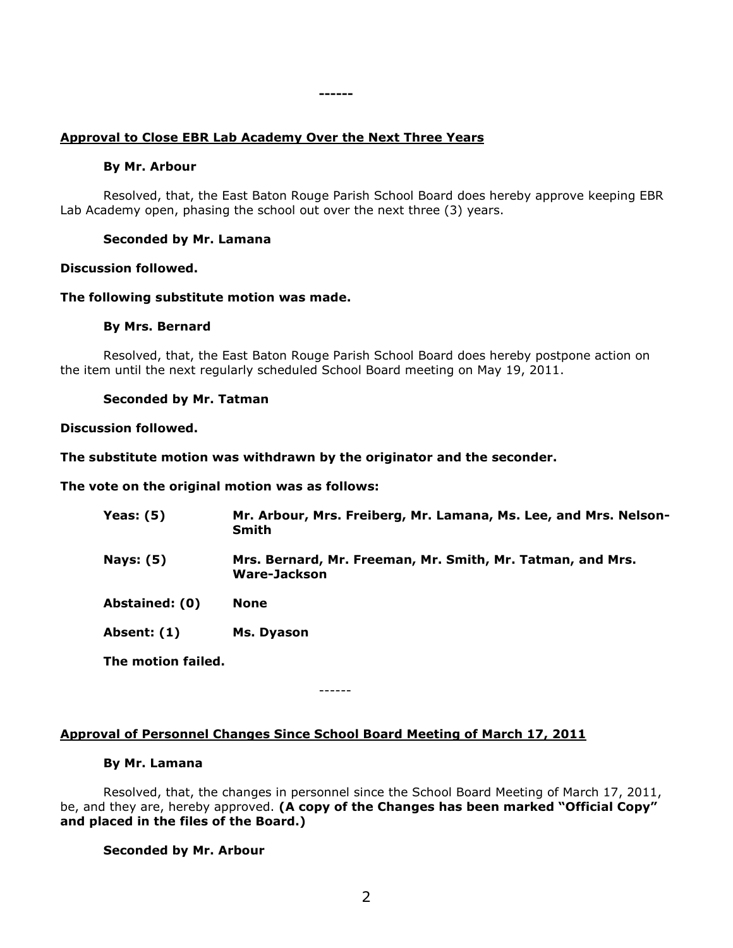# **Approval to Close EBR Lab Academy Over the Next Three Years**

#### **By Mr. Arbour**

Resolved, that, the East Baton Rouge Parish School Board does hereby approve keeping EBR Lab Academy open, phasing the school out over the next three (3) years.

**------**

## **Seconded by Mr. Lamana**

## **Discussion followed.**

## **The following substitute motion was made.**

## **By Mrs. Bernard**

Resolved, that, the East Baton Rouge Parish School Board does hereby postpone action on the item until the next regularly scheduled School Board meeting on May 19, 2011.

## **Seconded by Mr. Tatman**

## **Discussion followed.**

## **The substitute motion was withdrawn by the originator and the seconder.**

**The vote on the original motion was as follows:**

| Yeas: $(5)$        | Mr. Arbour, Mrs. Freiberg, Mr. Lamana, Ms. Lee, and Mrs. Nelson-<br><b>Smith</b> |
|--------------------|----------------------------------------------------------------------------------|
| <b>Nays: (5)</b>   | Mrs. Bernard, Mr. Freeman, Mr. Smith, Mr. Tatman, and Mrs.<br>Ware-Jackson       |
| Abstained: (0)     | <b>None</b>                                                                      |
| Absent: (1)        | Ms. Dyason                                                                       |
| The motion failed. |                                                                                  |

------

# **Approval of Personnel Changes Since School Board Meeting of March 17, 2011**

## **By Mr. Lamana**

Resolved, that, the changes in personnel since the School Board Meeting of March 17, 2011, be, and they are, hereby approved. **(A copy of the Changes has been marked "Official Copy" and placed in the files of the Board.)**

#### **Seconded by Mr. Arbour**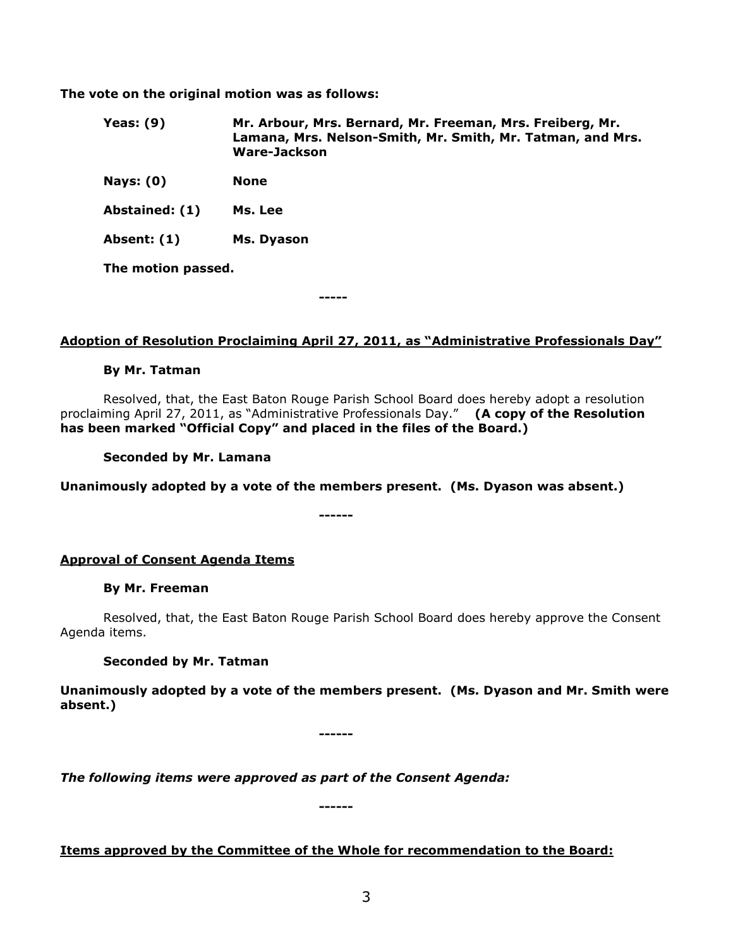**The vote on the original motion was as follows:**

- **Yeas: (9) Mr. Arbour, Mrs. Bernard, Mr. Freeman, Mrs. Freiberg, Mr. Lamana, Mrs. Nelson-Smith, Mr. Smith, Mr. Tatman, and Mrs. Ware-Jackson**
- **Nays: (0) None**

**Abstained: (1) Ms. Lee**

**Absent: (1) Ms. Dyason**

**The motion passed.**

**-----**

# **Adoption of Resolution Proclaiming April 27, 2011, as "Administrative Professionals Day"**

## **By Mr. Tatman**

Resolved, that, the East Baton Rouge Parish School Board does hereby adopt a resolution proclaiming April 27, 2011, as "Administrative Professionals Day." **(A copy of the Resolution has been marked "Official Copy" and placed in the files of the Board.)**

**Seconded by Mr. Lamana**

**Unanimously adopted by a vote of the members present. (Ms. Dyason was absent.)**

**------**

**Approval of Consent Agenda Items**

# **By Mr. Freeman**

Resolved, that, the East Baton Rouge Parish School Board does hereby approve the Consent Agenda items.

# **Seconded by Mr. Tatman**

**Unanimously adopted by a vote of the members present. (Ms. Dyason and Mr. Smith were absent.)**

**------**

*The following items were approved as part of the Consent Agenda:*

**Items approved by the Committee of the Whole for recommendation to the Board:**

**------**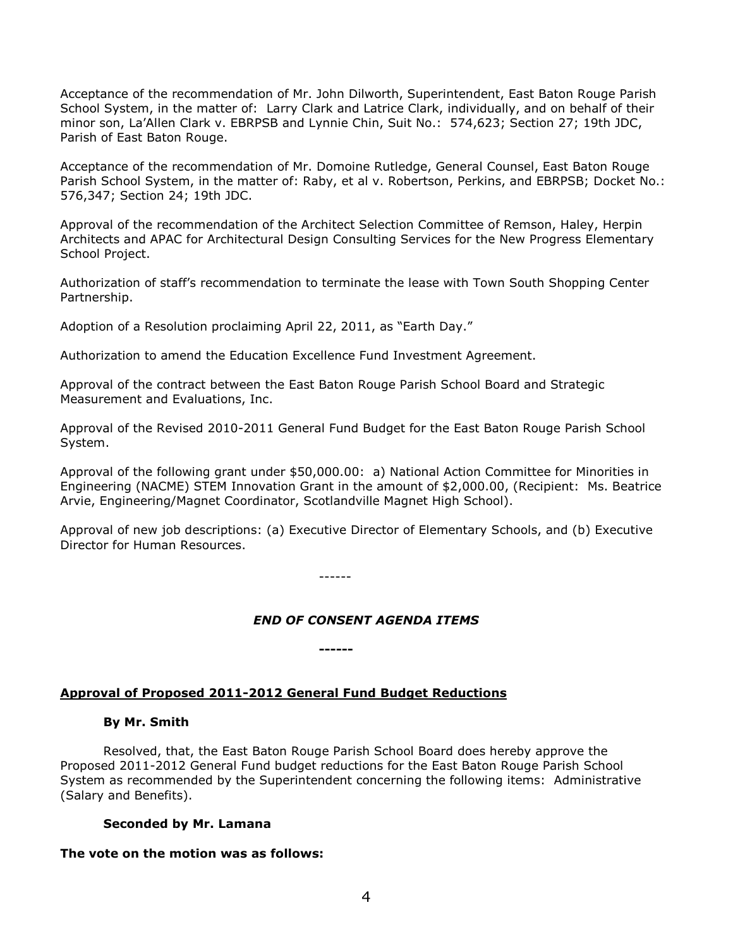Acceptance of the recommendation of Mr. John Dilworth, Superintendent, East Baton Rouge Parish School System, in the matter of: Larry Clark and Latrice Clark, individually, and on behalf of their minor son, La'Allen Clark v. EBRPSB and Lynnie Chin, Suit No.: 574,623; Section 27; 19th JDC, Parish of East Baton Rouge.

Acceptance of the recommendation of Mr. Domoine Rutledge, General Counsel, East Baton Rouge Parish School System, in the matter of: Raby, et al v. Robertson, Perkins, and EBRPSB; Docket No.: 576,347; Section 24; 19th JDC.

Approval of the recommendation of the Architect Selection Committee of Remson, Haley, Herpin Architects and APAC for Architectural Design Consulting Services for the New Progress Elementary School Project.

Authorization of staff's recommendation to terminate the lease with Town South Shopping Center Partnership.

Adoption of a Resolution proclaiming April 22, 2011, as "Earth Day."

Authorization to amend the Education Excellence Fund Investment Agreement.

Approval of the contract between the East Baton Rouge Parish School Board and Strategic Measurement and Evaluations, Inc.

Approval of the Revised 2010-2011 General Fund Budget for the East Baton Rouge Parish School System.

Approval of the following grant under \$50,000.00: a) National Action Committee for Minorities in Engineering (NACME) STEM Innovation Grant in the amount of \$2,000.00, (Recipient: Ms. Beatrice Arvie, Engineering/Magnet Coordinator, Scotlandville Magnet High School).

Approval of new job descriptions: (a) Executive Director of Elementary Schools, and (b) Executive Director for Human Resources.

------

**------**

# *END OF CONSENT AGENDA ITEMS*

#### **Approval of Proposed 2011-2012 General Fund Budget Reductions**

#### **By Mr. Smith**

Resolved, that, the East Baton Rouge Parish School Board does hereby approve the Proposed 2011-2012 General Fund budget reductions for the East Baton Rouge Parish School System as recommended by the Superintendent concerning the following items: Administrative (Salary and Benefits).

#### **Seconded by Mr. Lamana**

# **The vote on the motion was as follows:**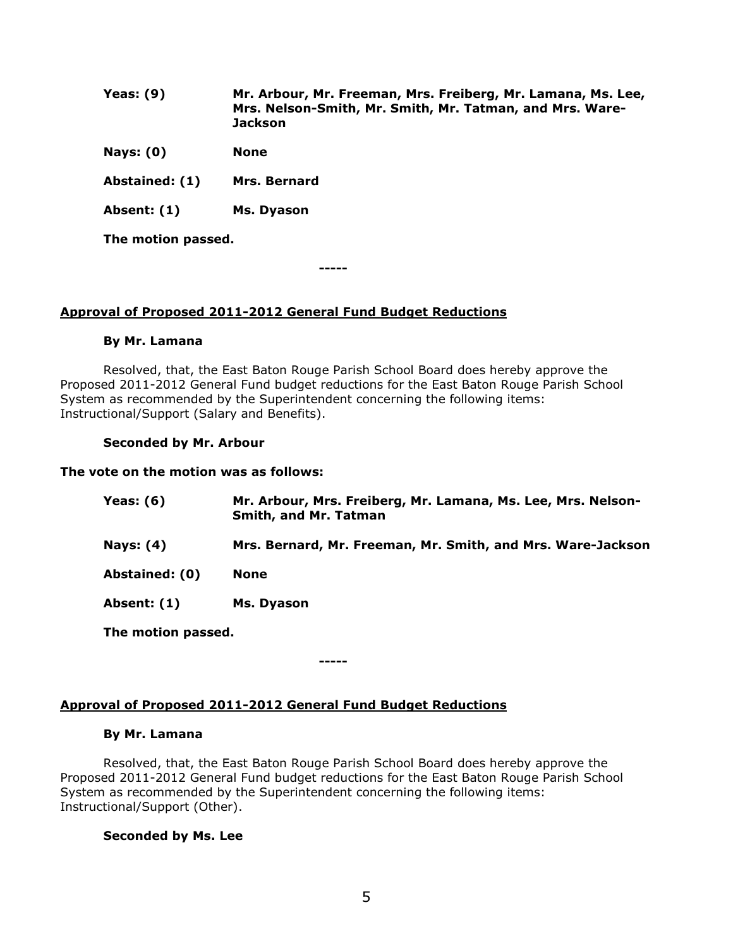| Yeas: $(9)$    | Mr. Arbour, Mr. Freeman, Mrs. Freiberg, Mr. Lamana, Ms. Lee,<br>Mrs. Nelson-Smith, Mr. Smith, Mr. Tatman, and Mrs. Ware-<br><b>Jackson</b> |
|----------------|--------------------------------------------------------------------------------------------------------------------------------------------|
| Nays: $(0)$    | <b>None</b>                                                                                                                                |
| Abstained: (1) | Mrs. Bernard                                                                                                                               |
| Absent: (1)    | Ms. Dyason                                                                                                                                 |

**The motion passed.**

**-----**

# **Approval of Proposed 2011-2012 General Fund Budget Reductions**

# **By Mr. Lamana**

Resolved, that, the East Baton Rouge Parish School Board does hereby approve the Proposed 2011-2012 General Fund budget reductions for the East Baton Rouge Parish School System as recommended by the Superintendent concerning the following items: Instructional/Support (Salary and Benefits).

# **Seconded by Mr. Arbour**

## **The vote on the motion was as follows:**

| Yeas: (6)        | Mr. Arbour, Mrs. Freiberg, Mr. Lamana, Ms. Lee, Mrs. Nelson-<br>Smith, and Mr. Tatman |
|------------------|---------------------------------------------------------------------------------------|
| <b>Nays: (4)</b> | Mrs. Bernard, Mr. Freeman, Mr. Smith, and Mrs. Ware-Jackson                           |
| Abstained: (0)   | <b>None</b>                                                                           |
| Absent: (1)      | Ms. Dyason                                                                            |
|                  |                                                                                       |

**The motion passed.**

# **Approval of Proposed 2011-2012 General Fund Budget Reductions**

# **By Mr. Lamana**

Resolved, that, the East Baton Rouge Parish School Board does hereby approve the Proposed 2011-2012 General Fund budget reductions for the East Baton Rouge Parish School System as recommended by the Superintendent concerning the following items: Instructional/Support (Other).

**-----**

# **Seconded by Ms. Lee**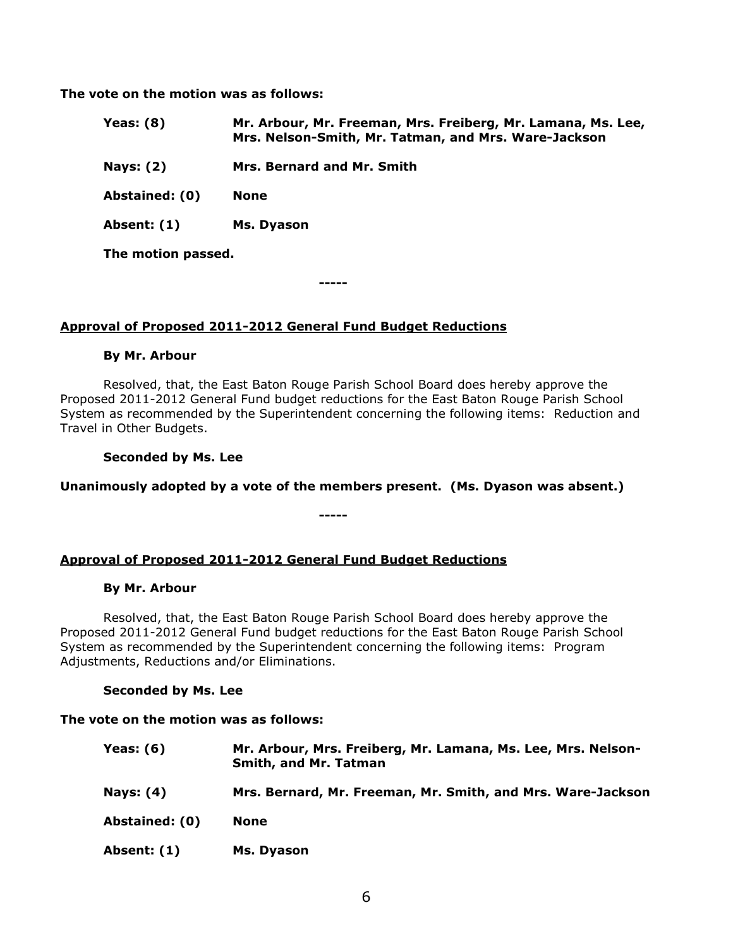**The vote on the motion was as follows:**

| Yeas: $(8)$        | Mr. Arbour, Mr. Freeman, Mrs. Freiberg, Mr. Lamana, Ms. Lee,<br>Mrs. Nelson-Smith, Mr. Tatman, and Mrs. Ware-Jackson |
|--------------------|----------------------------------------------------------------------------------------------------------------------|
| <b>Nays: (2)</b>   | Mrs. Bernard and Mr. Smith                                                                                           |
| Abstained: (0)     | <b>None</b>                                                                                                          |
| Absent: (1)        | Ms. Dyason                                                                                                           |
| The motion passed. |                                                                                                                      |

**-----**

# **Approval of Proposed 2011-2012 General Fund Budget Reductions**

# **By Mr. Arbour**

Resolved, that, the East Baton Rouge Parish School Board does hereby approve the Proposed 2011-2012 General Fund budget reductions for the East Baton Rouge Parish School System as recommended by the Superintendent concerning the following items: Reduction and Travel in Other Budgets.

**Seconded by Ms. Lee**

**Unanimously adopted by a vote of the members present. (Ms. Dyason was absent.)**

**-----**

# **Approval of Proposed 2011-2012 General Fund Budget Reductions**

#### **By Mr. Arbour**

Resolved, that, the East Baton Rouge Parish School Board does hereby approve the Proposed 2011-2012 General Fund budget reductions for the East Baton Rouge Parish School System as recommended by the Superintendent concerning the following items: Program Adjustments, Reductions and/or Eliminations.

# **Seconded by Ms. Lee**

#### **The vote on the motion was as follows:**

| Yeas: (6)        | Mr. Arbour, Mrs. Freiberg, Mr. Lamana, Ms. Lee, Mrs. Nelson-<br><b>Smith, and Mr. Tatman</b> |
|------------------|----------------------------------------------------------------------------------------------|
| <b>Nays: (4)</b> | Mrs. Bernard, Mr. Freeman, Mr. Smith, and Mrs. Ware-Jackson                                  |
| Abstained: (0)   | <b>None</b>                                                                                  |
| Absent: (1)      | Ms. Dyason                                                                                   |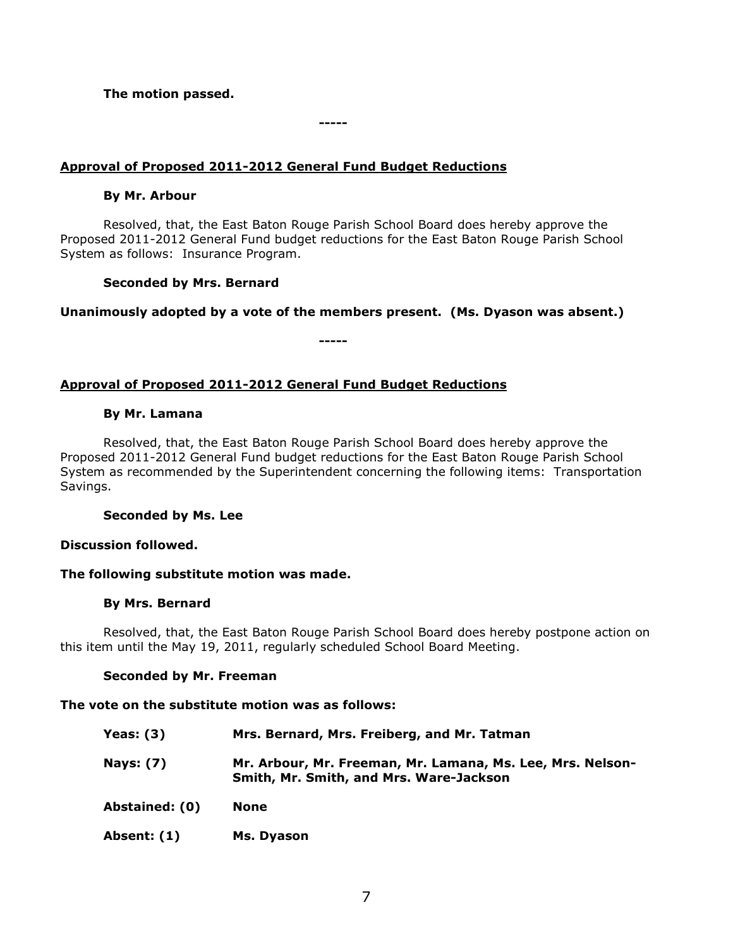# **The motion passed.**

# **Approval of Proposed 2011-2012 General Fund Budget Reductions**

## **By Mr. Arbour**

Resolved, that, the East Baton Rouge Parish School Board does hereby approve the Proposed 2011-2012 General Fund budget reductions for the East Baton Rouge Parish School System as follows: Insurance Program.

**-----**

## **Seconded by Mrs. Bernard**

**Unanimously adopted by a vote of the members present. (Ms. Dyason was absent.)**

**-----**

# **Approval of Proposed 2011-2012 General Fund Budget Reductions**

## **By Mr. Lamana**

Resolved, that, the East Baton Rouge Parish School Board does hereby approve the Proposed 2011-2012 General Fund budget reductions for the East Baton Rouge Parish School System as recommended by the Superintendent concerning the following items: Transportation Savings.

**Seconded by Ms. Lee**

#### **Discussion followed.**

# **The following substitute motion was made.**

#### **By Mrs. Bernard**

Resolved, that, the East Baton Rouge Parish School Board does hereby postpone action on this item until the May 19, 2011, regularly scheduled School Board Meeting.

#### **Seconded by Mr. Freeman**

#### **The vote on the substitute motion was as follows:**

| Yeas: $(3)$      | Mrs. Bernard, Mrs. Freiberg, and Mr. Tatman                                                           |
|------------------|-------------------------------------------------------------------------------------------------------|
| <b>Nays: (7)</b> | Mr. Arbour, Mr. Freeman, Mr. Lamana, Ms. Lee, Mrs. Nelson-<br>Smith, Mr. Smith, and Mrs. Ware-Jackson |
| Abstained: (0)   | None                                                                                                  |
| Absent: (1)      | Ms. Dyason                                                                                            |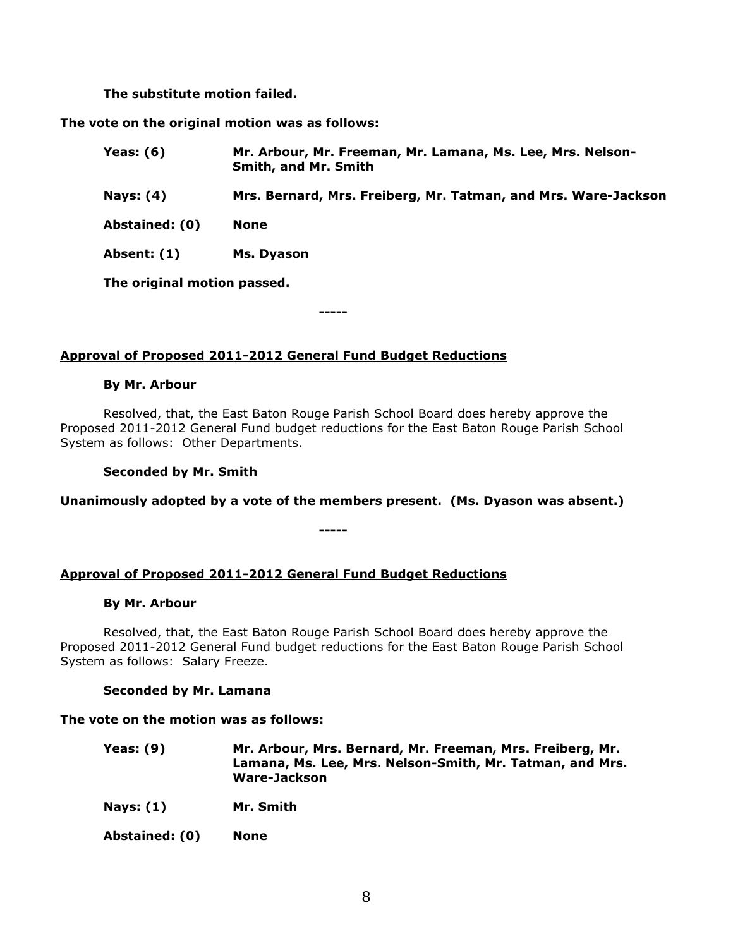**The substitute motion failed.**

**The vote on the original motion was as follows:**

| Yeas: $(6)$    | Mr. Arbour, Mr. Freeman, Mr. Lamana, Ms. Lee, Mrs. Nelson-<br><b>Smith, and Mr. Smith</b> |
|----------------|-------------------------------------------------------------------------------------------|
| Nays: (4)      | Mrs. Bernard, Mrs. Freiberg, Mr. Tatman, and Mrs. Ware-Jackson                            |
| Abstained: (0) | <b>None</b>                                                                               |
| Absent: (1)    | Ms. Dyason                                                                                |

**The original motion passed.**

**-----**

# **Approval of Proposed 2011-2012 General Fund Budget Reductions**

## **By Mr. Arbour**

Resolved, that, the East Baton Rouge Parish School Board does hereby approve the Proposed 2011-2012 General Fund budget reductions for the East Baton Rouge Parish School System as follows: Other Departments.

**Seconded by Mr. Smith**

**Unanimously adopted by a vote of the members present. (Ms. Dyason was absent.)**

**-----**

**Approval of Proposed 2011-2012 General Fund Budget Reductions**

#### **By Mr. Arbour**

Resolved, that, the East Baton Rouge Parish School Board does hereby approve the Proposed 2011-2012 General Fund budget reductions for the East Baton Rouge Parish School System as follows: Salary Freeze.

# **Seconded by Mr. Lamana**

#### **The vote on the motion was as follows:**

| Yeas: (9) | Mr. Arbour, Mrs. Bernard, Mr. Freeman, Mrs. Freiberg, Mr. |
|-----------|-----------------------------------------------------------|
|           | Lamana, Ms. Lee, Mrs. Nelson-Smith, Mr. Tatman, and Mrs.  |
|           | Ware-Jackson                                              |

**Nays: (1) Mr. Smith**

**Abstained: (0) None**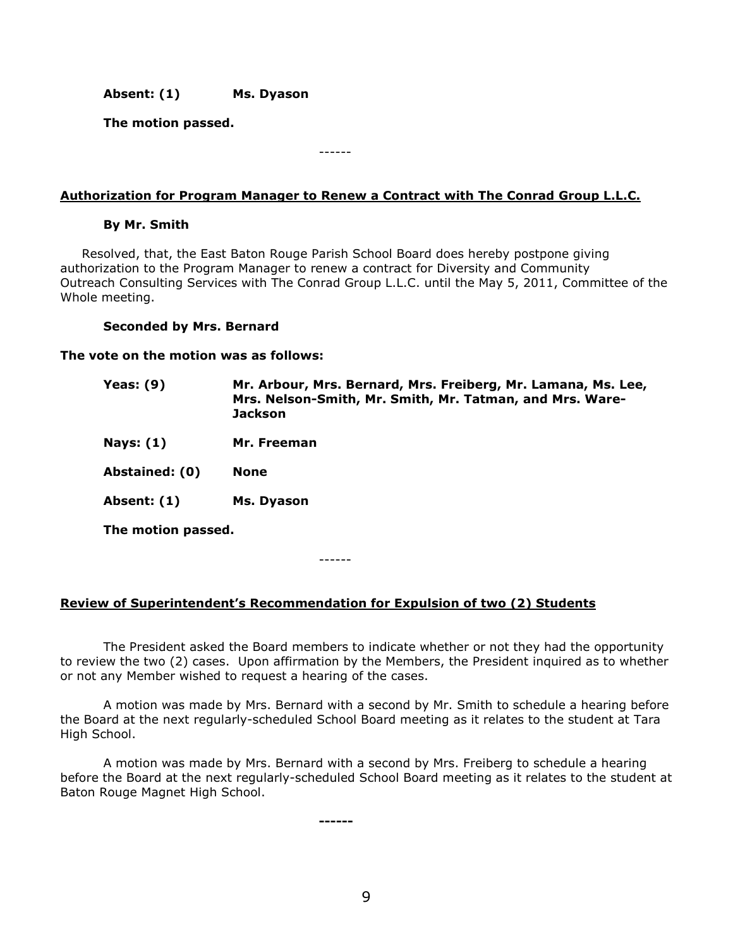**Absent: (1) Ms. Dyason**

**The motion passed.**

------

# **Authorization for Program Manager to Renew a Contract with The Conrad Group L.L.C.**

## **By Mr. Smith**

Resolved, that, the East Baton Rouge Parish School Board does hereby postpone giving authorization to the Program Manager to renew a contract for Diversity and Community Outreach Consulting Services with The Conrad Group L.L.C. until the May 5, 2011, Committee of the Whole meeting.

## **Seconded by Mrs. Bernard**

**The vote on the motion was as follows:**

| Yeas: $(9)$        | Mr. Arbour, Mrs. Bernard, Mrs. Freiberg, Mr. Lamana, Ms. Lee,<br>Mrs. Nelson-Smith, Mr. Smith, Mr. Tatman, and Mrs. Ware-<br><b>Jackson</b> |
|--------------------|---------------------------------------------------------------------------------------------------------------------------------------------|
| Nays: $(1)$        | Mr. Freeman                                                                                                                                 |
| Abstained: (0)     | <b>None</b>                                                                                                                                 |
| Absent: (1)        | Ms. Dyason                                                                                                                                  |
| The motion passed. |                                                                                                                                             |

**Review of Superintendent's Recommendation for Expulsion of two (2) Students**

------

The President asked the Board members to indicate whether or not they had the opportunity to review the two (2) cases. Upon affirmation by the Members, the President inquired as to whether or not any Member wished to request a hearing of the cases.

A motion was made by Mrs. Bernard with a second by Mr. Smith to schedule a hearing before the Board at the next regularly-scheduled School Board meeting as it relates to the student at Tara High School.

A motion was made by Mrs. Bernard with a second by Mrs. Freiberg to schedule a hearing before the Board at the next regularly-scheduled School Board meeting as it relates to the student at Baton Rouge Magnet High School.

**------**